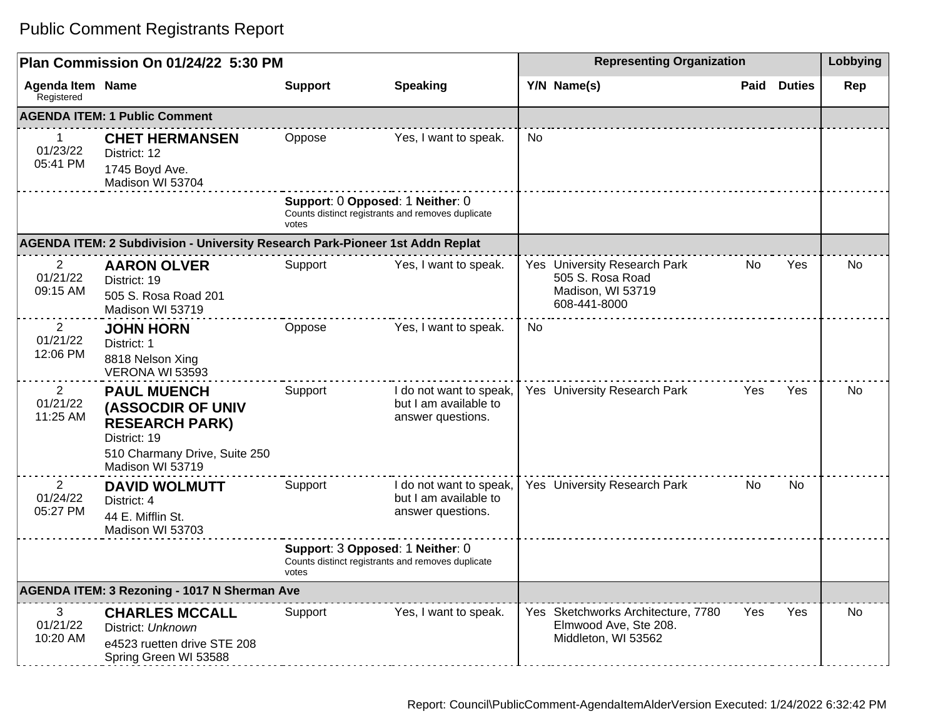| Plan Commission On 01/24/22 5:30 PM                 |                                                                                                                                              |                                           |                                                                       | <b>Representing Organization</b> |                                                                                       |     |                    | Lobbying |
|-----------------------------------------------------|----------------------------------------------------------------------------------------------------------------------------------------------|-------------------------------------------|-----------------------------------------------------------------------|----------------------------------|---------------------------------------------------------------------------------------|-----|--------------------|----------|
| <b>Agenda Item Name</b><br>Registered               |                                                                                                                                              | <b>Support</b>                            | <b>Speaking</b>                                                       |                                  | Y/N Name(s)                                                                           |     | <b>Paid Duties</b> | Rep      |
|                                                     | <b>AGENDA ITEM: 1 Public Comment</b>                                                                                                         |                                           |                                                                       |                                  |                                                                                       |     |                    |          |
| $\mathbf 1$<br>01/23/22<br>05:41 PM                 | <b>CHET HERMANSEN</b><br>District: 12<br>1745 Boyd Ave.<br>Madison WI 53704                                                                  | Oppose                                    | Yes, I want to speak.                                                 | N <sub>0</sub>                   |                                                                                       |     |                    |          |
|                                                     |                                                                                                                                              | Support: 0 Opposed: 1 Neither: 0<br>votes | Counts distinct registrants and removes duplicate                     |                                  |                                                                                       |     |                    |          |
|                                                     | AGENDA ITEM: 2 Subdivision - University Research Park-Pioneer 1st Addn Replat                                                                |                                           |                                                                       |                                  |                                                                                       |     |                    |          |
| $\mathbf{2}$<br>01/21/22<br>09:15 AM                | <b>AARON OLVER</b><br>District: 19<br>505 S. Rosa Road 201<br>Madison WI 53719                                                               | Support                                   | Yes, I want to speak.                                                 |                                  | Yes University Research Park<br>505 S. Rosa Road<br>Madison, WI 53719<br>608-441-8000 | No. | Yes                | No       |
| $\overline{2}$<br>01/21/22<br>12:06 PM              | <b>JOHN HORN</b><br>District: 1<br>8818 Nelson Xing<br>VERONA WI 53593                                                                       | Oppose                                    | Yes, I want to speak.                                                 | <b>No</b>                        |                                                                                       |     |                    |          |
| $\overline{2}$<br>01/21/22<br>11:25 AM              | <b>PAUL MUENCH</b><br><b>(ASSOCDIR OF UNIV</b><br><b>RESEARCH PARK)</b><br>District: 19<br>510 Charmany Drive, Suite 250<br>Madison WI 53719 | Support                                   | I do not want to speak,<br>but I am available to<br>answer questions. |                                  | Yes University Research Park                                                          | Yes | Yes                | No       |
| 2<br>01/24/22<br>05:27 PM                           | <b>DAVID WOLMUTT</b><br>District: 4<br>44 E. Mifflin St.<br>Madison WI 53703                                                                 | Support                                   | I do not want to speak,<br>but I am available to<br>answer questions. |                                  | Yes University Research Park                                                          | No. | No.                |          |
|                                                     |                                                                                                                                              | Support: 3 Opposed: 1 Neither: 0<br>votes | Counts distinct registrants and removes duplicate                     |                                  |                                                                                       |     |                    |          |
| <b>AGENDA ITEM: 3 Rezoning - 1017 N Sherman Ave</b> |                                                                                                                                              |                                           |                                                                       |                                  |                                                                                       |     |                    |          |
| 3<br>01/21/22<br>10:20 AM                           | <b>CHARLES MCCALL</b><br>District: Unknown<br>e4523 ruetten drive STE 208<br>Spring Green WI 53588                                           | Support                                   | Yes, I want to speak.                                                 |                                  | Yes Sketchworks Architecture, 7780<br>Elmwood Ave, Ste 208.<br>Middleton, WI 53562    | Yes | Yes                | No.      |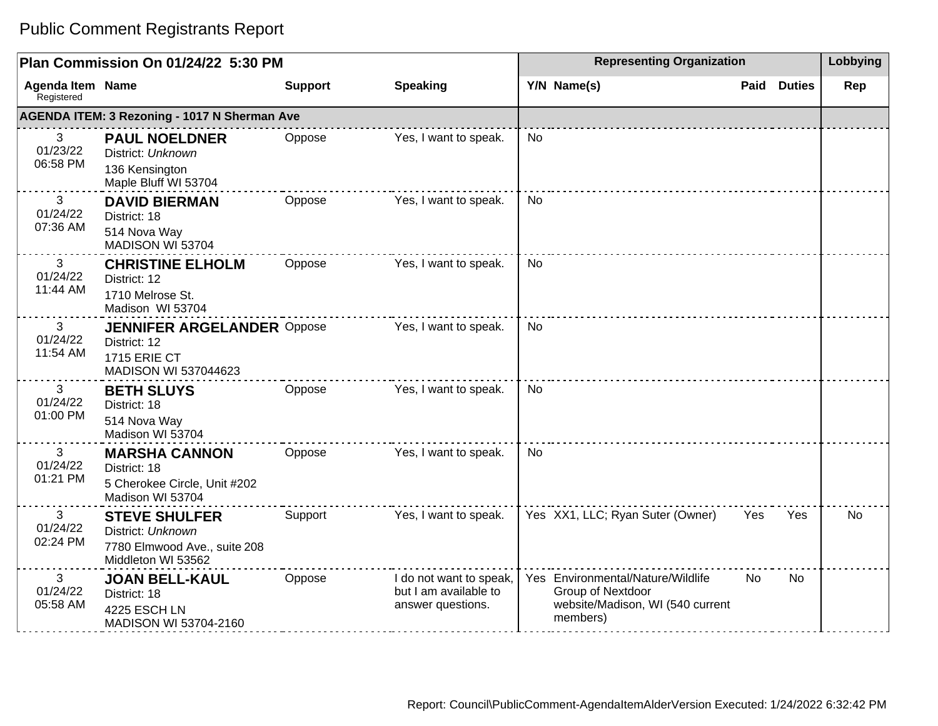| Plan Commission On 01/24/22 5:30 PM                 |                                                                                                  |                | <b>Representing Organization</b>                                      |           |                                                                                                        |           | Lobbying      |           |
|-----------------------------------------------------|--------------------------------------------------------------------------------------------------|----------------|-----------------------------------------------------------------------|-----------|--------------------------------------------------------------------------------------------------------|-----------|---------------|-----------|
| Agenda Item Name<br>Registered                      |                                                                                                  | <b>Support</b> | <b>Speaking</b>                                                       |           | Y/N Name(s)                                                                                            | Paid      | <b>Duties</b> | Rep       |
| <b>AGENDA ITEM: 3 Rezoning - 1017 N Sherman Ave</b> |                                                                                                  |                |                                                                       |           |                                                                                                        |           |               |           |
| 3<br>01/23/22<br>06:58 PM                           | <b>PAUL NOELDNER</b><br>District: Unknown<br>136 Kensington<br>Maple Bluff WI 53704              | Oppose         | Yes, I want to speak.                                                 | No        |                                                                                                        |           |               |           |
| 3<br>01/24/22<br>07:36 AM                           | <b>DAVID BIERMAN</b><br>District: 18<br>514 Nova Way<br>MADISON WI 53704                         | Oppose         | Yes, I want to speak.                                                 | <b>No</b> |                                                                                                        |           |               |           |
| 3<br>01/24/22<br>11:44 AM                           | <b>CHRISTINE ELHOLM</b><br>District: 12<br>1710 Melrose St.<br>Madison WI 53704                  | Oppose         | Yes, I want to speak.                                                 | No        |                                                                                                        |           |               |           |
| 3<br>01/24/22<br>11:54 AM                           | <b>JENNIFER ARGELANDER Oppose</b><br>District: 12<br><b>1715 ERIE CT</b><br>MADISON WI 537044623 |                | Yes, I want to speak.                                                 | <b>No</b> |                                                                                                        |           |               |           |
| 3<br>01/24/22<br>01:00 PM                           | <b>BETH SLUYS</b><br>District: 18<br>514 Nova Way<br>Madison WI 53704                            | Oppose         | Yes, I want to speak.                                                 | No        |                                                                                                        |           |               |           |
| 3<br>01/24/22<br>01:21 PM                           | <b>MARSHA CANNON</b><br>District: 18<br>5 Cherokee Circle, Unit #202<br>Madison WI 53704         | Oppose         | Yes, I want to speak.                                                 | <b>No</b> |                                                                                                        |           |               |           |
| 3<br>01/24/22<br>02:24 PM                           | <b>STEVE SHULFER</b><br>District: Unknown<br>7780 Elmwood Ave., suite 208<br>Middleton WI 53562  | Support        | Yes, I want to speak.                                                 |           | Yes XX1, LLC; Ryan Suter (Owner)                                                                       | Yes       | Yes           | <b>No</b> |
| 3<br>01/24/22<br>05:58 AM                           | <b>JOAN BELL-KAUL</b><br>District: 18<br>4225 ESCH LN<br>MADISON WI 53704-2160                   | Oppose         | I do not want to speak,<br>but I am available to<br>answer questions. |           | Yes Environmental/Nature/Wildlife<br>Group of Nextdoor<br>website/Madison, WI (540 current<br>members) | <b>No</b> | <b>No</b>     |           |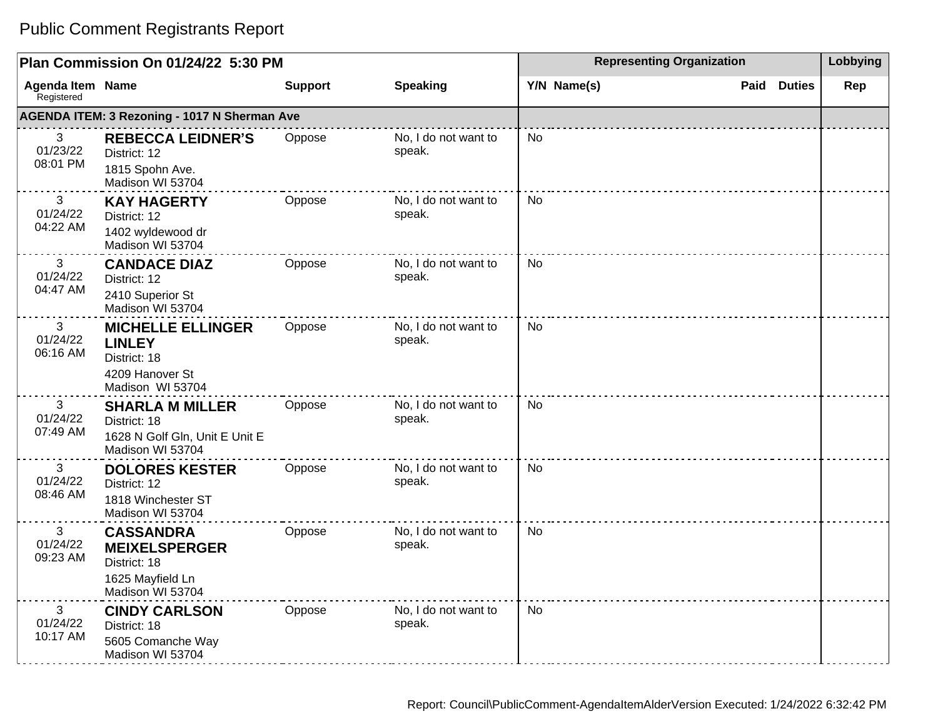| Plan Commission On 01/24/22 5:30 PM |                                                                                                  |                |                                | <b>Representing Organization</b> | Lobbying              |     |
|-------------------------------------|--------------------------------------------------------------------------------------------------|----------------|--------------------------------|----------------------------------|-----------------------|-----|
| Agenda Item Name<br>Registered      |                                                                                                  | <b>Support</b> | <b>Speaking</b>                | Y/N Name(s)                      | <b>Duties</b><br>Paid | Rep |
|                                     | <b>AGENDA ITEM: 3 Rezoning - 1017 N Sherman Ave</b>                                              |                |                                |                                  |                       |     |
| 3<br>01/23/22<br>08:01 PM           | <b>REBECCA LEIDNER'S</b><br>District: 12<br>1815 Spohn Ave.<br>Madison WI 53704                  | Oppose         | No, I do not want to<br>speak. | <b>No</b>                        |                       |     |
| 3<br>01/24/22<br>04:22 AM           | <b>KAY HAGERTY</b><br>District: 12<br>1402 wyldewood dr<br>Madison WI 53704                      | Oppose         | No, I do not want to<br>speak. | No                               |                       |     |
| 3<br>01/24/22<br>04:47 AM           | <b>CANDACE DIAZ</b><br>District: 12<br>2410 Superior St<br>Madison WI 53704                      | Oppose         | No, I do not want to<br>speak. | No                               |                       |     |
| 3<br>01/24/22<br>06:16 AM           | <b>MICHELLE ELLINGER</b><br><b>LINLEY</b><br>District: 18<br>4209 Hanover St<br>Madison WI 53704 | Oppose         | No, I do not want to<br>speak. | <b>No</b>                        |                       |     |
| 3<br>01/24/22<br>07:49 AM           | <b>SHARLA M MILLER</b><br>District: 18<br>1628 N Golf Gln, Unit E Unit E<br>Madison WI 53704     | Oppose         | No, I do not want to<br>speak. | No                               |                       |     |
| 3<br>01/24/22<br>08:46 AM           | <b>DOLORES KESTER</b><br>District: 12<br>1818 Winchester ST<br>Madison WI 53704                  | Oppose         | No, I do not want to<br>speak. | <b>No</b>                        |                       |     |
| 3<br>01/24/22<br>09:23 AM           | <b>CASSANDRA</b><br><b>MEIXELSPERGER</b><br>District: 18<br>1625 Mayfield Ln<br>Madison WI 53704 | Oppose         | No, I do not want to<br>speak. | <b>No</b>                        |                       |     |
| 3<br>01/24/22<br>10:17 AM           | <b>CINDY CARLSON</b><br>District: 18<br>5605 Comanche Way<br>Madison WI 53704                    | Oppose         | No, I do not want to<br>speak. | <b>No</b>                        |                       |     |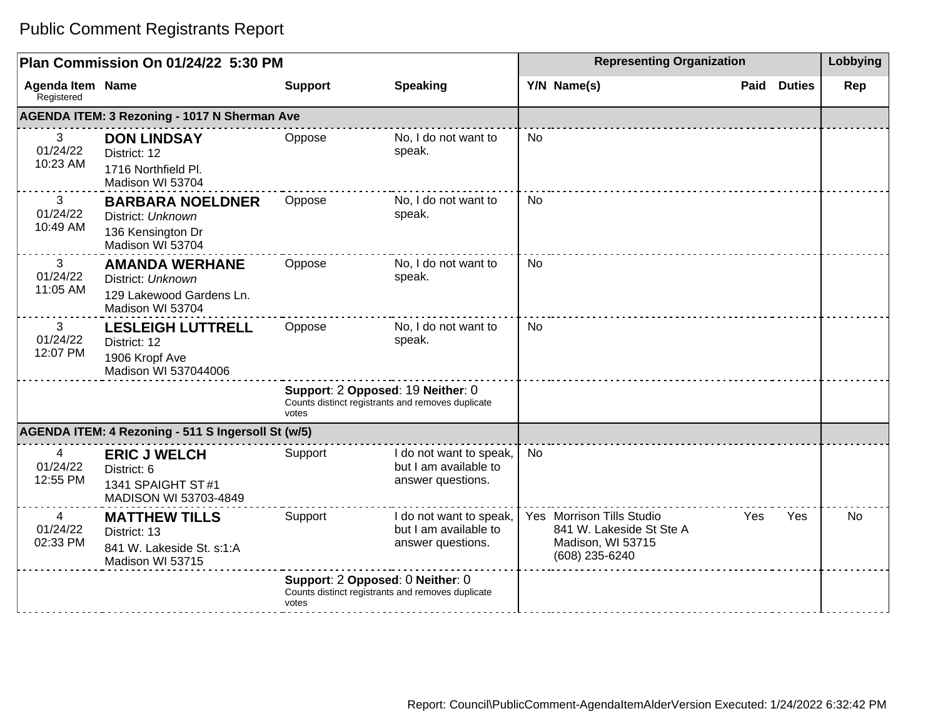| Plan Commission On 01/24/22 5:30 PM   |                                                                                            |                                                                                                 |                                                                       | <b>Representing Organization</b> |                                                                                              |      |               | Lobbying |
|---------------------------------------|--------------------------------------------------------------------------------------------|-------------------------------------------------------------------------------------------------|-----------------------------------------------------------------------|----------------------------------|----------------------------------------------------------------------------------------------|------|---------------|----------|
| <b>Agenda Item Name</b><br>Registered |                                                                                            | <b>Support</b>                                                                                  | <b>Speaking</b>                                                       |                                  | Y/N Name(s)                                                                                  | Paid | <b>Duties</b> | Rep      |
|                                       | <b>AGENDA ITEM: 3 Rezoning - 1017 N Sherman Ave</b>                                        |                                                                                                 |                                                                       |                                  |                                                                                              |      |               |          |
| 3<br>01/24/22<br>10:23 AM             | <b>DON LINDSAY</b><br>District: 12<br>1716 Northfield Pl.<br>Madison WI 53704              | Oppose                                                                                          | No, I do not want to<br>speak.                                        | <b>No</b>                        |                                                                                              |      |               |          |
| 3<br>01/24/22<br>10:49 AM             | <b>BARBARA NOELDNER</b><br>District: Unknown<br>136 Kensington Dr<br>Madison WI 53704      | Oppose                                                                                          | No, I do not want to<br>speak.                                        | <b>No</b>                        |                                                                                              |      |               |          |
| 3<br>01/24/22<br>11:05 AM             | <b>AMANDA WERHANE</b><br>District: Unknown<br>129 Lakewood Gardens Ln.<br>Madison WI 53704 | Oppose                                                                                          | No, I do not want to<br>speak.                                        | No                               |                                                                                              |      |               |          |
| 3<br>01/24/22<br>12:07 PM             | <b>LESLEIGH LUTTRELL</b><br>District: 12<br>1906 Kropf Ave<br>Madison WI 537044006         | Oppose                                                                                          | No, I do not want to<br>speak.                                        | <b>No</b>                        |                                                                                              |      |               |          |
|                                       |                                                                                            | Support: 2 Opposed: 19 Neither: 0<br>Counts distinct registrants and removes duplicate<br>votes |                                                                       |                                  |                                                                                              |      |               |          |
|                                       | AGENDA ITEM: 4 Rezoning - 511 S Ingersoll St (w/5)                                         |                                                                                                 |                                                                       |                                  |                                                                                              |      |               |          |
| 4<br>01/24/22<br>12:55 PM             | <b>ERIC J WELCH</b><br>District: 6<br>1341 SPAIGHT ST#1<br>MADISON WI 53703-4849           | Support                                                                                         | I do not want to speak,<br>but I am available to<br>answer questions. | <b>No</b>                        |                                                                                              |      |               |          |
| 4<br>01/24/22<br>02:33 PM             | <b>MATTHEW TILLS</b><br>District: 13<br>841 W. Lakeside St. s:1:A<br>Madison WI 53715      | Support                                                                                         | I do not want to speak,<br>but I am available to<br>answer questions. |                                  | Yes Morrison Tills Studio<br>841 W. Lakeside St Ste A<br>Madison, WI 53715<br>(608) 235-6240 | Yes  | Yes           | No       |
|                                       |                                                                                            | Support: 2 Opposed: 0 Neither: 0<br>Counts distinct registrants and removes duplicate<br>votes  |                                                                       |                                  |                                                                                              |      |               |          |